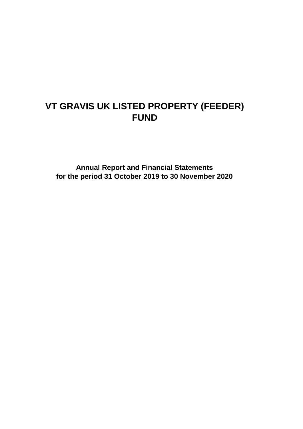# **VT GRAVIS UK LISTED PROPERTY (FEEDER) FUND**

**Annual Report and Financial Statements for the period 31 October 2019 to 30 November 2020**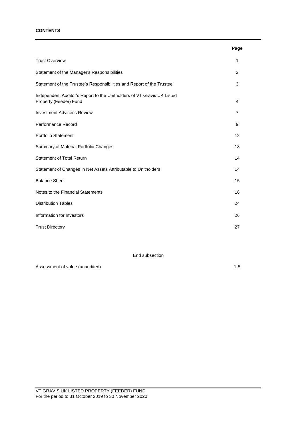# **CONTENTS**

|                                                                                                  | Page           |
|--------------------------------------------------------------------------------------------------|----------------|
| <b>Trust Overview</b>                                                                            | 1              |
| Statement of the Manager's Responsibilities                                                      | 2              |
| Statement of the Trustee's Responsibilities and Report of the Trustee                            | 3              |
| Independent Auditor's Report to the Unitholders of VT Gravis UK Listed<br>Property (Feeder) Fund | $\overline{4}$ |
| <b>Investment Adviser's Review</b>                                                               | 7              |
| <b>Performance Record</b>                                                                        | 9              |
| <b>Portfolio Statement</b>                                                                       | 12             |
| Summary of Material Portfolio Changes                                                            | 13             |
| <b>Statement of Total Return</b>                                                                 | 14             |
| Statement of Changes in Net Assets Attributable to Unitholders                                   | 14             |
| <b>Balance Sheet</b>                                                                             | 15             |
| Notes to the Financial Statements                                                                | 16             |
| <b>Distribution Tables</b>                                                                       | 24             |
| Information for Investors                                                                        | 26             |
| <b>Trust Directory</b>                                                                           | 27             |

End subsection

Assessment of value (unaudited) 1-5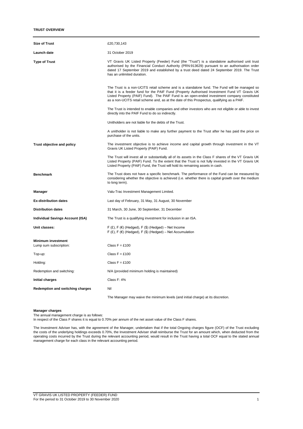#### **TRUST OVERVIEW**

| <b>Size of Trust</b>                                | £20,730,143                                                                                                                                                                                                                                                                                                                                                                               |
|-----------------------------------------------------|-------------------------------------------------------------------------------------------------------------------------------------------------------------------------------------------------------------------------------------------------------------------------------------------------------------------------------------------------------------------------------------------|
| Launch date                                         | 31 October 2019                                                                                                                                                                                                                                                                                                                                                                           |
| <b>Type of Trust</b>                                | VT Gravis UK Listed Property (Feeder) Fund (the "Trust") is a standalone authorised unit trust<br>authorised by the Financial Conduct Authority (PRN:913629) pursuant to an authorisation order<br>dated 17 September 2019 and established by a trust deed dated 24 September 2019. The Trust<br>has an unlimited duration.                                                               |
|                                                     | The Trust is a non-UCITS retail scheme and is a standalone fund. The Fund will be managed so<br>that it is a feeder fund for the PAIF Fund (Property Authorised Investment Fund VT Gravis UK<br>Listed Property (PAIF) Fund). The PAIF Fund is an open-ended investment company constituted<br>as a non-UCITS retail scheme and, as at the date of this Prospectus, qualifying as a PAIF. |
|                                                     | The Trust is intended to enable companies and other investors who are not eligible or able to invest<br>directly into the PAIF Fund to do so indirectly.                                                                                                                                                                                                                                  |
|                                                     | Unitholders are not liable for the debts of the Trust.                                                                                                                                                                                                                                                                                                                                    |
|                                                     | A unitholder is not liable to make any further payment to the Trust after he has paid the price on<br>purchase of the units.                                                                                                                                                                                                                                                              |
| Trust objective and policy                          | The investment objective is to achieve income and capital growth through investment in the VT<br>Gravis UK Listed Property (PAIF) Fund.                                                                                                                                                                                                                                                   |
|                                                     | The Trust will invest all or substantially all of its assets in the Class F shares of the VT Gravis UK<br>Listed Property (PAIF) Fund. To the extent that the Trust is not fully invested in the VT Gravis UK<br>Listed Property (PAIF) Fund, the Trust will hold its remaining assets in cash.                                                                                           |
| <b>Benchmark</b>                                    | The Trust does not have a specific benchmark. The performance of the Fund can be measured by<br>considering whether the objective is achieved (i.e. whether there is capital growth over the medium<br>to long term).                                                                                                                                                                     |
| <b>Manager</b>                                      | Valu-Trac Investment Management Limited.                                                                                                                                                                                                                                                                                                                                                  |
| <b>Ex-distribution dates</b>                        | Last day of February, 31 May, 31 August, 30 November                                                                                                                                                                                                                                                                                                                                      |
| <b>Distribution dates</b>                           | 31 March, 30 June, 30 September, 31 December                                                                                                                                                                                                                                                                                                                                              |
| <b>Individual Savings Account (ISA)</b>             | The Trust is a qualifying investment for inclusion in an ISA.                                                                                                                                                                                                                                                                                                                             |
| Unit classes:                                       | $F(f)$ , F $(f)$ (Hedged), F $(f)$ (Hedged) – Net Income<br>$F(f)$ , F $(f)$ (Hedged), F $(f)$ (Hedged) – Net Accumulation                                                                                                                                                                                                                                                                |
| <b>Minimum investment</b><br>Lump sum subscription: | Class $F = £100$                                                                                                                                                                                                                                                                                                                                                                          |
| Top-up:                                             | Class $F = £100$                                                                                                                                                                                                                                                                                                                                                                          |
| Holding:                                            | Class $F = £100$                                                                                                                                                                                                                                                                                                                                                                          |
| Redemption and switching:                           | N/A (provided minimum holding is maintained)                                                                                                                                                                                                                                                                                                                                              |
| Initial charges                                     | Class F: 4%                                                                                                                                                                                                                                                                                                                                                                               |
| Redemption and switching charges                    | Nil                                                                                                                                                                                                                                                                                                                                                                                       |
|                                                     | The Manager may waive the minimum levels (and initial charge) at its discretion.                                                                                                                                                                                                                                                                                                          |

### **Manager charges**

The annual management charge is as follows:

In respect of the Class F shares it is equal to 0.70% per annum of the net asset value of the Class F shares.

The Investment Adviser has, with the agreement of the Manager, undertaken that if the total Ongoing charges figure (OCF) of the Trust excluding the costs of the underlying holdings exceeds 0.70%, the Investment Adviser shall reimburse the Trust for an amount which, when deducted from the operating costs incurred by the Trust during the relevant accounting period, would result in the Trust having a total OCF equal to the stated annual management charge for each class in the relevant accounting period.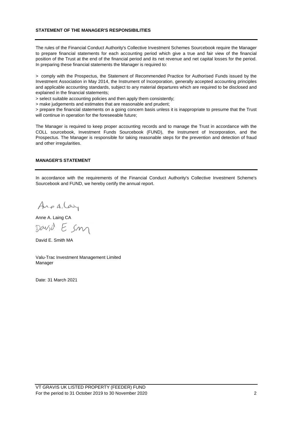# **STATEMENT OF THE MANAGER'S RESPONSIBILITIES**

The rules of the Financial Conduct Authority's Collective Investment Schemes Sourcebook require the Manager to prepare financial statements for each accounting period which give a true and fair view of the financial position of the Trust at the end of the financial period and its net revenue and net capital losses for the period. In preparing these financial statements the Manager is required to:

> comply with the Prospectus, the Statement of Recommended Practice for Authorised Funds issued by the Investment Association in May 2014, the Instrument of Incorporation, generally accepted accounting principles and applicable accounting standards, subject to any material departures which are required to be disclosed and explained in the financial statements;

> select suitable accounting policies and then apply them consistently;

> make judgements and estimates that are reasonable and prudent;

> prepare the financial statements on a going concern basis unless it is inappropriate to presume that the Trust will continue in operation for the foreseeable future;

The Manager is required to keep proper accounting records and to manage the Trust in accordance with the COLL sourcebook, Investment Funds Sourcebook (FUND), the Instrument of Incorporation, and the Prospectus. The Manager is responsible for taking reasonable steps for the prevention and detection of fraud and other irregularities.

# **MANAGER'S STATEMENT**

In accordance with the requirements of the Financial Conduct Authority's Collective Investment Scheme's Sourcebook and FUND, we hereby certify the annual report.

Are Alay

Anne A. Laing CA<br> $\mathbb{D}^{a}$   $\mathbb{D}^{a}$   $\mathbb{D}^{a}$ 

David E. Smith MA

Valu-Trac Investment Management Limited Manager

Date: 31 March 2021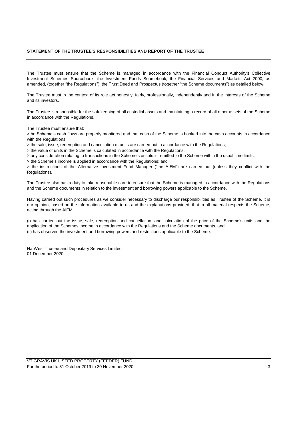# **STATEMENT OF THE TRUSTEE'S RESPONSIBILITIES AND REPORT OF THE TRUSTEE**

The Trustee must ensure that the Scheme is managed in accordance with the Financial Conduct Authority's Collective Investment Schemes Sourcebook, the Investment Funds Sourcebook, the Financial Services and Markets Act 2000, as amended, (together "the Regulations"), the Trust Deed and Prospectus (together "the Scheme documents") as detailed below.

The Trustee must in the context of its role act honestly, fairly, professionally, independently and in the interests of the Scheme and its investors.

The Trustee is responsible for the safekeeping of all custodial assets and maintaining a record of all other assets of the Scheme in accordance with the Regulations.

The Trustee must ensure that:

>the Scheme's cash flows are properly monitored and that cash of the Scheme is booked into the cash accounts in accordance with the Regulations;

> the sale, issue, redemption and cancellation of units are carried out in accordance with the Regulations;

> the value of units in the Scheme is calculated in accordance with the Regulations;

> any consideration relating to transactions in the Scheme's assets is remitted to the Scheme within the usual time limits;

> the Scheme's income is applied in accordance with the Regulations; and

> the instructions of the Alternative Investment Fund Manager ("the AIFM") are carried out (unless they conflict with the Regulations).

The Trustee also has a duty to take reasonable care to ensure that the Scheme is managed in accordance with the Regulations and the Scheme documents in relation to the investment and borrowing powers applicable to the Scheme.

Having carried out such procedures as we consider necessary to discharge our responsibilities as Trustee of the Scheme, it is our opinion, based on the information available to us and the explanations provided, that in all material respects the Scheme, acting through the AIFM:

(i) has carried out the issue, sale, redemption and cancellation, and calculation of the price of the Scheme's units and the application of the Schemes income in accordance with the Regulations and the Scheme documents, and (ii) has observed the investment and borrowing powers and restrictions applicable to the Scheme.

NatWest Trustee and Depositary Services Limited 01 December 2020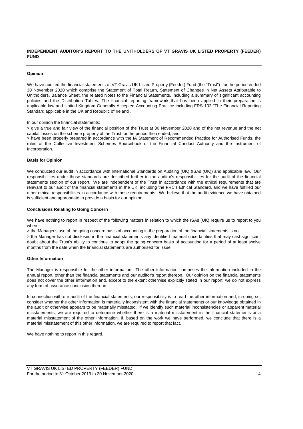# **INDEPENDENT AUDITOR'S REPORT TO THE UNITHOLDERS OF VT GRAVIS UK LISTED PROPERTY (FEEDER) FUND**

# **Opinion**

We have audited the financial statements of VT Gravis UK Listed Property (Feeder) Fund (the "Trust") for the period ended 30 November 2020 which comprise the Statement of Total Return, Statement of Changes in Net Assets Attributable to Unitholders, Balance Sheet, the related Notes to the Financial Statements, including a summary of significant accounting policies and the Distribution Tables. The financial reporting framework that has been applied in their preparation is applicable law and United Kingdom Generally Accepted Accounting Practice including FRS 102 "The Financial Reporting Standard applicable in the UK and Republic of Ireland".

In our opinion the financial statements:

> give a true and fair view of the financial position of the Trust at 30 November 2020 and of the net revenue and the net capital losses on the scheme property of the Trust for the period then ended; and

> have been properly prepared in accordance with the IA Statement of Recommended Practice for Authorised Funds, the rules of the Collective Investment Schemes Sourcebook of the Financial Conduct Authority and the Instrument of Incorporation.

### **Basis for Opinion**

We conducted our audit in accordance with International Standards on Auditing (UK) (ISAs (UK)) and applicable law. Our responsibilities under those standards are described further in the auditor's responsibilities for the audit of the financial statements section of our report. We are independent of the Trust in accordance with the ethical requirements that are relevant to our audit of the financial statements in the UK, including the FRC's Ethical Standard, and we have fulfilled our other ethical responsibilities in accordance with these requirements. We believe that the audit evidence we have obtained is sufficient and appropriate to provide a basis for our opinion.

### **Conclusions Relating to Going Concern**

We have nothing to report in respect of the following matters in relation to which the ISAs (UK) require us to report to you where:

> the Manager's use of the going concern basis of accounting in the preparation of the financial statements is not

> the Manager has not disclosed in the financial statements any identified material uncertainties that may cast significant doubt about the Trust's ability to continue to adopt the going concern basis of accounting for a period of at least twelve months from the date when the financial statements are authorised for issue.

### **Other Information**

The Manager is responsible for the other information. The other information comprises the information included in the annual report, other than the financial statements and our auditor's report thereon. Our opinion on the financial statements does not cover the other information and, except to the extent otherwise explicitly stated in our report, we do not express any form of assurance conclusion thereon.

In connection with our audit of the financial statements, our responsibility is to read the other information and, in doing so, consider whether the other information is materially inconsistent with the financial statements or our knowledge obtained in the audit or otherwise appears to be materially misstated. If we identify such material inconsistencies or apparent material misstatements, we are required to determine whether there is a material misstatement in the financial statements or a material misstatement of the other information. If, based on the work we have performed, we conclude that there is a material misstatement of this other information, we are required to report that fact.

We have nothing to report in this regard.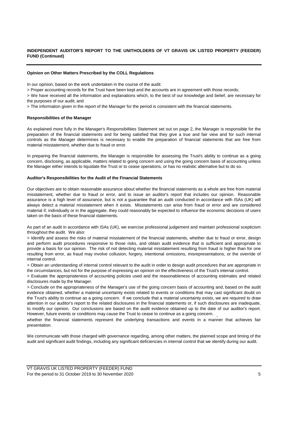# **INDEPENDENT AUDITOR'S REPORT TO THE UNITHOLDERS OF VT GRAVIS UK LISTED PROPERTY (FEEDER) FUND (Continued)**

### **Opinion on Other Matters Prescribed by the COLL Regulations**

In our opinion, based on the work undertaken in the course of the audit:

> Proper accounting records for the Trust have been kept and the accounts are in agreement with those records;

> We have received all the information and explanations which, to the best of our knowledge and belief, are necessary for the purposes of our audit; and

> The information given in the report of the Manager for the period is consistent with the financial statements.

### **Responsibilities of the Manager**

As explained more fully in the Manager's Responsibilities Statement set out on page 2, the Manager is responsible for the preparation of the financial statements and for being satisfied that they give a true and fair view and for such internal controls as the Manager determines is necessary to enable the preparation of financial statements that are free from material misstatement, whether due to fraud or error.

In preparing the financial statements, the Manager is responsible for assessing the Trust's ability to continue as a going concern, disclosing, as applicable, matters related to going concern and using the going concern basis of accounting unless the Manager either intends to liquidate the Trust or to cease operations, or has no realistic alternative but to do so.

### **Auditor's Responsibilities for the Audit of the Financial Statements**

Our objectives are to obtain reasonable assurance about whether the financial statements as a whole are free from material misstatement, whether due to fraud or error, and to issue an auditor's report that includes our opinion. Reasonable assurance is a high level of assurance, but is not a guarantee that an audit conducted in accordance with ISAs (UK) will always detect a material misstatement when it exists. Misstatements can arise from fraud or error and are considered material if, individually or in the aggregate, they could reasonably be expected to influence the economic decisions of users taken on the basis of these financial statements.

As part of an audit in accordance with ISAs (UK), we exercise professional judgement and maintain professional scepticism throughout the audit. We also:

> Identify and assess the risks of material misstatement of the financial statements, whether due to fraud or error, design and perform audit procedures responsive to those risks, and obtain audit evidence that is sufficient and appropriate to provide a basis for our opinion. The risk of not detecting material misstatement resulting from fraud is higher than for one resulting from error, as fraud may involve collusion, forgery, intentional omissions, misrepresentations, or the override of internal control.

> Obtain an understanding of internal control relevant to the audit in order to design audit procedures that are appropriate in the circumstances, but not for the purpose of expressing an opinion on the effectiveness of the Trust's internal control.

> Evaluate the appropriateness of accounting policies used and the reasonableness of accounting estimates and related disclosures made by the Manager.

> Conclude on the appropriateness of the Manager's use of the going concern basis of accounting and, based on the audit evidence obtained, whether a material uncertainty exists related to events or conditions that may cast significant doubt on the Trust's ability to continue as a going concern. If we conclude that a material uncertainty exists, we are required to draw attention in our auditor's report to the related disclosures in the financial statements or, if such disclosures are inadequate, to modify our opinion. Our conclusions are based on the audit evidence obtained up to the date of our auditor's report. However, future events or conditions may cause the Trust to cease to continue as a going concern.

whether the financial statements represent the underlying transactions and events in a manner that achieves fair presentation.

We communicate with those charged with governance regarding, among other matters, the planned scope and timing of the audit and significant audit findings, including any significant deficiencies in internal control that we identify during our audit.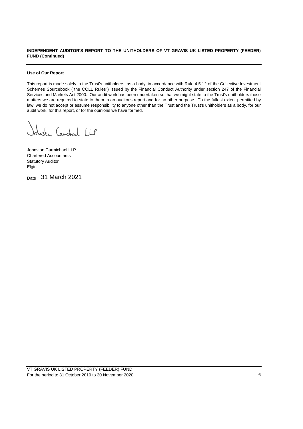# **INDEPENDENT AUDITOR'S REPORT TO THE UNITHOLDERS OF VT GRAVIS UK LISTED PROPERTY (FEEDER) FUND (Continued)**

# **Use of Our Report**

This report is made solely to the Trust's unitholders, as a body, in accordance with Rule 4.5.12 of the Collective Investment Schemes Sourcebook ("the COLL Rules") issued by the Financial Conduct Authority under section 247 of the Financial Services and Markets Act 2000. Our audit work has been undertaken so that we might state to the Trust's unitholders those matters we are required to state to them in an auditor's report and for no other purpose. To the fullest extent permitted by law, we do not accept or assume responsibility to anyone other than the Trust and the Trust's unitholders as a body, for our audit work, for this report, or for the opinions we have formed.

sta Carichael LLP

Johnston Carmichael LLP Chartered Accountants Statutory Auditor Elgin

Date 31 March 2021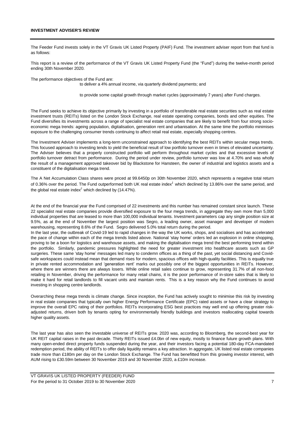# **INVESTMENT ADVISER'S REVIEW**

The Feeder Fund invests solely in the VT Gravis UK Listed Property (PAIF) Fund. The investment adviser report from that fund is as follows:

This report is a review of the performance of the VT Gravis UK Listed Property Fund (the "Fund") during the twelve-month period ending 30th November 2020.

The performance objectives of the Fund are:

to deliver a 4% annual income, via quarterly dividend payments; and

to provide some capital growth through market cycles (approximately 7 years) after Fund charges.

The Fund seeks to achieve its objective primarily by investing in a portfolio of transferable real estate securities such as real estate investment trusts (REITs) listed on the London Stock Exchange, real estate operating companies, bonds and other equities. The Fund diversifies its investments across a range of specialist real estate companies that are likely to benefit from four strong socioeconomic mega trends: ageing population, digitalisation, generation rent and urbanisation. At the same time the portfolio minimises exposure to the challenging consumer trends continuing to affect retail real estate, especially shopping centres.

The Investment Adviser implements a long-term unconstrained approach to identifying the best REITs within secular mega trends. This focused approach to investing tends to yield the beneficial result of low portfolio turnover even in times of elevated uncertainty. The Adviser believes that a properly constructed portfolio will perform throughout market cycles and that excessive levels of portfolio turnover detract from performance. During the period under review, portfolio turnover was low at 4.70% and was wholly the result of a management approved takeover bid by Blackstone for Hansteen, the owner of industrial and logistics assets and a constituent of the digitalisation mega trend.

The A Net Accumulation Class shares were priced at 99.6450p on 30th November 2020, which represents a negative total return of 0.36% over the period. The Fund outperformed both UK real estate index*<sup>1</sup>* which declined by 13.86% over the same period, and the global real estate index<sup>2</sup> which declined by (14.47%).

At the end of the financial year the Fund comprised of 22 investments and this number has remained constant since launch. These 22 specialist real estate companies provide diversified exposure to the four mega trends, in aggregate they own more than 5,000 individual properties that are leased to more than 100,000 individual tenants. Investment parameters cap any single position size at 9.5%, as at the end of November the largest position was Segro, a leading owner, asset manager and developer of modern warehousing, representing 8.6% of the Fund. Segro delivered 5.0% total return during the period.

In the last year, the outbreak of Covid-19 led to rapid changes in the way the UK works, shops, and socialises and has accelerated the pace of change within each of the mega trends listed above. National 'stay home' orders led an explosion in online shopping, proving to be a boon for logistics and warehouse assets, and making the digitalisation mega trend the best performing trend within the portfolio. Similarly, pandemic pressures highlighted the need for greater investment into healthcare assets such as GP surgeries. These same 'stay home' messages led many to condemn offices as a thing of the past, yet social distancing and Covidsafe workspaces could instead mean that demand rises for modern, spacious offices with high-quality facilities. This is equally true in private rented accommodation and 'generation rent' marks out possibly one of the biggest opportunities in REITs. However, where there are winners there are always losers. While online retail sales continue to grow, representing 31.7% of all non-food retailing in November, driving the performance for many retail chains, it is the poor performance of in-store sales that is likely to make it hard for retail landlords to fill vacant units and maintain rents. This is a key reason why the Fund continues to avoid investing in shopping centre landlords.

Overarching these mega trends is climate change. Since inception, the Fund has actively sought to minimise this risk by investing in real estate companies that typically own higher Energy Performance Certificate (EPC) rated assets or have a clear strategy to improve the overall EPC rating of their portfolios. REITs incorporating ESG best practices may well end up offering greater riskadjusted returns, driven both by tenants opting for environmentally friendly buildings and investors reallocating capital towards higher quality assets.

The last year has also seen the investable universe of REITs grow. 2020 was, according to Bloomberg, the second-best year for UK REIT capital raises in the past decade. Thirty REITs issued £4.0bn of new equity, mostly to finance future growth plans. With many open-ended direct property funds suspended during the year, and their investors facing a potential 180-day FCA-mandated redemption period, the ability of REITs to offer daily liquidity remains a key attraction. In aggregate, UK listed real estate companies trade more than £180m per day on the London Stock Exchange. The Fund has benefitted from this growing investor interest, with AUM rising to £30.59m between 30 November 2019 and 30 November 2020, a £10m increase.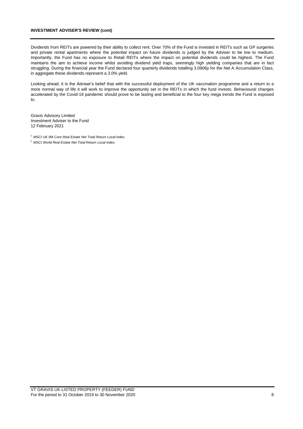# **INVESTMENT ADVISER'S REVIEW (cont)**

Dividends from REITs are powered by their ability to collect rent. Over 70% of the Fund is invested in REITs such as GP surgeries and private rental apartments where the potential impact on future dividends is judged by the Adviser to be low to medium. Importantly, the Fund has no exposure to Retail REITs where the impact on potential dividends could be highest. The Fund maintains the aim to achieve income whilst avoiding dividend yield traps, seemingly high yielding companies that are in fact struggling. During the financial year the Fund declared four quarterly dividends totalling 3.0906p for the Net A Accumulation Class, in aggregate these dividends represent a 3.0% yield.

Looking ahead, it is the Adviser's belief that with the successful deployment of the UK vaccination programme and a return to a more normal way of life it will work to improve the opportunity set in the REITs in which the fund invests. Behavioural changes accelerated by the Covid-19 pandemic should prove to be lasting and beneficial to the four key mega trends the Fund is exposed to.

12 February 2021 Gravis Advisory Limited Investment Adviser to the Fund

<sup>1</sup> MSCI UK IMI Core Real Estate Net Total Return Local index.

*2 MSCI World Real Estate Net Total Return Local index.*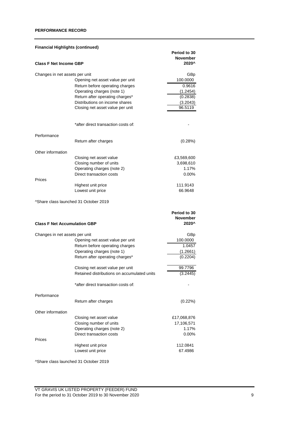# **PERFORMANCE RECORD**

# **Financial Highlights (continued)**

| <b>Class F Net Income GBP</b>         |                                                               | Period to 30<br><b>November</b><br>2020^ |
|---------------------------------------|---------------------------------------------------------------|------------------------------------------|
|                                       |                                                               |                                          |
| Changes in net assets per unit        |                                                               | GBp                                      |
|                                       | Opening net asset value per unit                              | 100.0000                                 |
|                                       | Return before operating charges                               | 0.9616                                   |
|                                       | Operating charges (note 1)<br>Return after operating charges* | (1.2454)<br>(0.2838)                     |
|                                       | Distributions on income shares                                | (3.2043)                                 |
|                                       | Closing net asset value per unit                              | 96.5119                                  |
|                                       |                                                               |                                          |
|                                       | *after direct transaction costs of:                           |                                          |
| Performance                           |                                                               |                                          |
|                                       | Return after charges                                          | (0.28%)                                  |
| Other information                     |                                                               |                                          |
|                                       | Closing net asset value                                       | £3,569,600                               |
|                                       | Closing number of units                                       | 3,698,610                                |
|                                       | Operating charges (note 2)                                    | 1.17%                                    |
| Prices                                | Direct transaction costs                                      | $0.00\%$                                 |
|                                       | Highest unit price                                            | 111.9143                                 |
|                                       | Lowest unit price                                             | 66.9648                                  |
| ^Share class launched 31 October 2019 |                                                               |                                          |
|                                       |                                                               | Period to 30                             |
| <b>Class F Net Accumulation GBP</b>   |                                                               | November<br>2020^                        |
|                                       |                                                               |                                          |
| Changes in net assets per unit        |                                                               | GBp                                      |
|                                       | Opening net asset value per unit                              | 100.0000                                 |
|                                       | Return before operating charges                               | 1.0457                                   |
|                                       | Operating charges (note 1)                                    | (1.2661)                                 |
|                                       | Return after operating charges*                               | (0.2204)                                 |
|                                       | Closing net asset value per unit                              | 99.7796                                  |
|                                       | Retained distributions on accumulated units                   | (3.2445)                                 |
|                                       | *after direct transaction costs of:                           |                                          |
| Performance                           |                                                               |                                          |
|                                       | Return after charges                                          | $(0.22\%)$                               |
| Other information                     |                                                               |                                          |
|                                       | Closing net asset value                                       | £17,068,876                              |
|                                       | Closing number of units                                       | 17,106,571                               |
|                                       | Operating charges (note 2)                                    | 1.17%                                    |
| Prices                                | Direct transaction costs                                      | $0.00\%$                                 |
|                                       | Highest unit price                                            | 112.0841                                 |
|                                       | Lowest unit price                                             | 67.4986                                  |
|                                       |                                                               |                                          |

^Share class launched 31 October 2019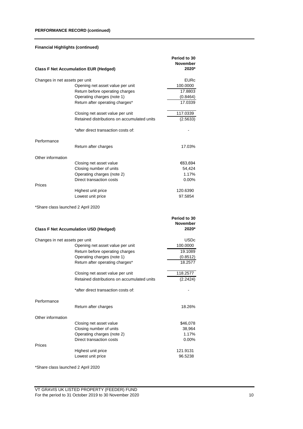# **Financial Highlights (continued)**

|                                    |                                              | Period to 30             |
|------------------------------------|----------------------------------------------|--------------------------|
|                                    | <b>Class F Net Accumulation EUR (Hedged)</b> | <b>November</b><br>2020* |
| Changes in net assets per unit     |                                              | EURc                     |
|                                    | Opening net asset value per unit             | 100.0000                 |
|                                    | Return before operating charges              | 17.8803                  |
|                                    | Operating charges (note 1)                   | (0.8464)                 |
|                                    | Return after operating charges*              | 17.0339                  |
|                                    | Closing net asset value per unit             | 117.0339                 |
|                                    | Retained distributions on accumulated units  | (2.5633)                 |
|                                    | *after direct transaction costs of:          |                          |
| Performance                        |                                              |                          |
|                                    | Return after charges                         | 17.03%                   |
| Other information                  |                                              |                          |
|                                    | Closing net asset value                      | €63,694                  |
|                                    | Closing number of units                      | 54,424                   |
|                                    | Operating charges (note 2)                   | 1.17%                    |
| Prices                             | Direct transaction costs                     | 0.00%                    |
|                                    | Highest unit price                           | 120.6390                 |
|                                    | Lowest unit price                            | 97.5854                  |
| *Share class launched 2 April 2020 |                                              |                          |
|                                    |                                              | Period to 30             |
|                                    |                                              | <b>November</b>          |
|                                    | <b>Class F Net Accumulation USD (Hedged)</b> | 2020*                    |
| Changes in net assets per unit     |                                              | USDc                     |
|                                    | Opening net asset value per unit             | 100.0000                 |
|                                    | Return before operating charges              | 19.1089                  |
|                                    | Operating charges (note 1)                   | (0.8512)                 |
|                                    | Return after operating charges*              | 18.2577                  |
|                                    | Closing net asset value per unit             | 118.2577                 |
|                                    | Retained distributions on accumulated units  | (2.2424)                 |
|                                    | *after direct transaction costs of:          |                          |
| Performance                        | Return after charges                         | 18.26%                   |
|                                    |                                              |                          |
| Other information                  |                                              |                          |
|                                    |                                              |                          |
|                                    | Closing net asset value                      | \$46,078                 |
|                                    | Closing number of units                      | 38,964                   |
|                                    | Operating charges (note 2)                   | 1.17%                    |
| Prices                             | Direct transaction costs                     | $0.00\%$                 |
|                                    | Highest unit price                           | 121.9131                 |
|                                    | Lowest unit price                            | 96.5238                  |

\*Share class launched 2 April 2020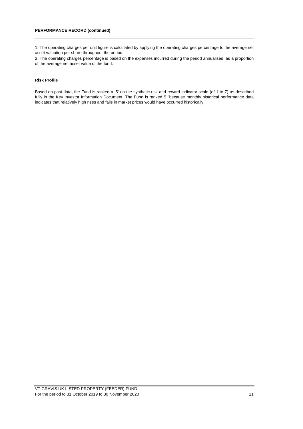1. The operating charges per unit figure is calculated by applying the operating charges percentage to the average net asset valuation per share throughout the period.

2. The operating charges percentage is based on the expenses incurred during the period annualised, as a proportion of the average net asset value of the fund.

### **Risk Profile**

Based on past data, the Fund is ranked a '5' on the synthetic risk and reward indicator scale (of 1 to 7) as described fully in the Key Investor Information Document. The Fund is ranked 5 "because monthly historical performance data indicates that relatively high rises and falls in market prices would have occurred historically.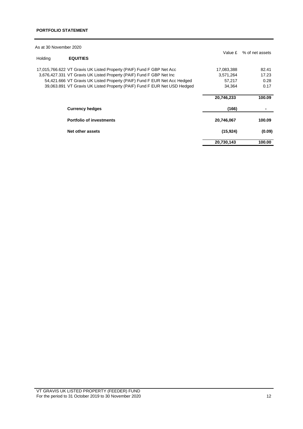As at 30 November 2020

|         |                                                                          | Value £    | % of net assets |
|---------|--------------------------------------------------------------------------|------------|-----------------|
| Holding | <b>EQUITIES</b>                                                          |            |                 |
|         | 17,015,766.622 VT Gravis UK Listed Property (PAIF) Fund F GBP Net Acc    | 17,083,388 | 82.41           |
|         | 3,676,427.331 VT Gravis UK Listed Property (PAIF) Fund F GBP Net Inc     | 3,571,264  | 17.23           |
|         | 54,421.666 VT Gravis UK Listed Property (PAIF) Fund F EUR Net Acc Hedged | 57,217     | 0.28            |
|         | 39,063.891 VT Gravis UK Listed Property (PAIF) Fund F EUR Net USD Hedged | 34.364     | 0.17            |
|         |                                                                          |            |                 |
|         |                                                                          | 20,746,233 | 100.09          |
|         | <b>Currency hedges</b>                                                   | (166)      |                 |
|         | <b>Portfolio of investments</b>                                          | 20,746,067 | 100.09          |
|         | Net other assets                                                         | (15, 924)  | (0.09)          |
|         |                                                                          | 20,730,143 | 100.00          |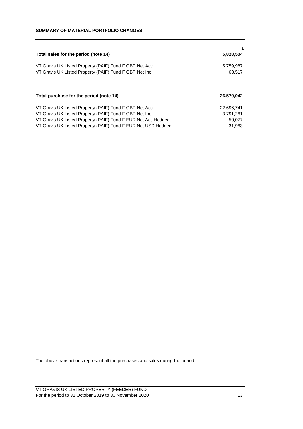# **SUMMARY OF MATERIAL PORTFOLIO CHANGES**

| Total sales for the period (note 14)                          | £<br>5,828,504 |
|---------------------------------------------------------------|----------------|
| VT Gravis UK Listed Property (PAIF) Fund F GBP Net Acc        | 5,759,987      |
| VT Gravis UK Listed Property (PAIF) Fund F GBP Net Inc        | 68,517         |
| Total purchase for the period (note 14)                       | 26,570,042     |
| VT Gravis UK Listed Property (PAIF) Fund F GBP Net Acc        | 22,696,741     |
| VT Gravis UK Listed Property (PAIF) Fund F GBP Net Inc        | 3,791,261      |
| VT Gravis UK Listed Property (PAIF) Fund F EUR Net Acc Hedged | 50.077         |
| VT Gravis UK Listed Property (PAIF) Fund F EUR Net USD Hedged | 31.963         |

The above transactions represent all the purchases and sales during the period.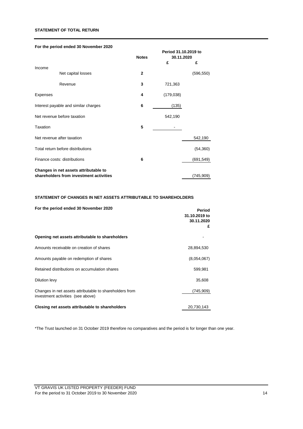# **STATEMENT OF TOTAL RETURN**

## **For the period ended 30 November 2020**

|          |                                         | <b>Notes</b>   | Period 31.10.2019 to<br>30.11.2020 |            |
|----------|-----------------------------------------|----------------|------------------------------------|------------|
|          |                                         |                | £                                  | £          |
| Income   | Net capital losses                      | $\overline{2}$ |                                    | (596, 550) |
|          | Revenue                                 | 3              | 721,363                            |            |
| Expenses |                                         | 4              | (179, 038)                         |            |
|          | Interest payable and similar charges    | 6              | (135)                              |            |
|          | Net revenue before taxation             |                | 542,190                            |            |
| Taxation |                                         | 5              |                                    |            |
|          | Net revenue after taxation              |                |                                    | 542,190    |
|          | Total return before distributions       |                |                                    | (54, 360)  |
|          | Finance costs: distributions            | 6              |                                    | (691,549)  |
|          | Changes in net assets attributable to   |                |                                    |            |
|          | shareholders from investment activities |                |                                    | (745,909)  |

# **STATEMENT OF CHANGES IN NET ASSETS ATTRIBUTABLE TO SHAREHOLDERS**

| For the period ended 30 November 2020                                                        | Period<br>31.10.2019 to<br>30.11.2020<br>£ |
|----------------------------------------------------------------------------------------------|--------------------------------------------|
| Opening net assets attributable to shareholders                                              |                                            |
| Amounts receivable on creation of shares                                                     | 28,894,530                                 |
| Amounts payable on redemption of shares                                                      | (8,054,067)                                |
| Retained distributions on accumulation shares                                                | 599,981                                    |
| Dilution levy                                                                                | 35,608                                     |
| Changes in net assets attributable to shareholders from<br>investment activities (see above) | (745,909)                                  |
| Closing net assets attributable to shareholders                                              | 20,730,143                                 |

\*The Trust launched on 31 October 2019 therefore no comparatives and the period is for longer than one year.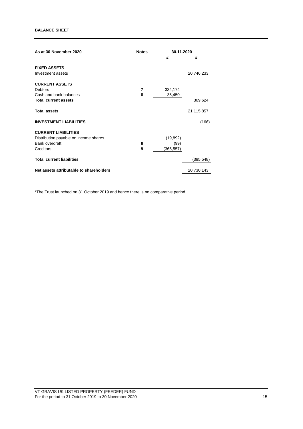| As at 30 November 2020                  | <b>Notes</b> |           | 30.11.2020 |  |
|-----------------------------------------|--------------|-----------|------------|--|
|                                         |              | £         | £          |  |
| <b>FIXED ASSETS</b>                     |              |           |            |  |
| Investment assets                       |              |           | 20,746,233 |  |
| <b>CURRENT ASSETS</b>                   |              |           |            |  |
| Debtors                                 | 7            | 334,174   |            |  |
| Cash and bank balances                  | 8            | 35,450    |            |  |
| <b>Total current assets</b>             |              |           | 369,624    |  |
| <b>Total assets</b>                     |              |           | 21,115,857 |  |
| <b>INVESTMENT LIABILITIES</b>           |              |           | (166)      |  |
| <b>CURRENT LIABILITIES</b>              |              |           |            |  |
| Distribution payable on income shares   |              | (19, 892) |            |  |
| Bank overdraft                          | 8            | (99)      |            |  |
| Creditors                               | 9            | (365,557) |            |  |
| <b>Total current liabilities</b>        |              |           | (385,548)  |  |
| Net assets attributable to shareholders |              |           | 20,730,143 |  |

\*The Trust launched on 31 October 2019 and hence there is no comparative period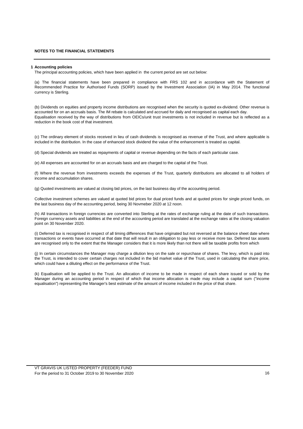### **NOTES TO THE FINANCIAL STATEMENTS**

#### **1 Accounting policies**

The principal accounting policies, which have been applied in the current period are set out below:

(a) The financial statements have been prepared in compliance with FRS 102 and in accordance with the Statement of Recommended Practice for Authorised Funds (SORP) issued by the Investment Association (IA) in May 2014. The functional currency is Sterling.

(b) Dividends on equities and property income distributions are recognised when the security is quoted ex-dividend. Other revenue is accounted for on an accruals basis. The IM rebate is calculated and accrued for daily and recognised as capital each day. Equalisation received by the way of distributions from OEICs/unit trust investments is not included in revenue but is reflected as a reduction in the book cost of that investment.

(c) The ordinary element of stocks received in lieu of cash dividends is recognised as revenue of the Trust, and where applicable is included in the distribution. In the case of enhanced stock dividend the value of the enhancement is treated as capital.

(d) Special dividends are treated as repayments of capital or revenue depending on the facts of each particular case.

(e) All expenses are accounted for on an accruals basis and are charged to the capital of the Trust.

(f) Where the revenue from investments exceeds the expenses of the Trust, quarterly distributions are allocated to all holders of income and accumulation shares.

(g) Quoted investments are valued at closing bid prices, on the last business day of the accounting period.

Collective investment schemes are valued at quoted bid prices for dual priced funds and at quoted prices for single priced funds, on the last business day of the accounting period, being 30 Novmeber 2020 at 12 noon.

(h) All transactions in foreign currencies are converted into Sterling at the rates of exchange ruling at the date of such transactions. Foreign currency assets and liabilities at the end of the accounting period are translated at the exchange rates at the closing valuation point on 30 November 2020.

(i) Deferred tax is recognised in respect of all timing differences that have originated but not reversed at the balance sheet date where transactions or events have occurred at that date that will result in an obligation to pay less or receive more tax. Deferred tax assets are recognised only to the extent that the Manager considers that it is more likely than not there will be taxable profits from which

(j) In certain circumstances the Manager may charge a dilution levy on the sale or repurchase of shares. The levy, which is paid into the Trust, is intended to cover certain charges not included in the bid market value of the Trust, used in calculating the share price, which could have a diluting effect on the performance of the Trust.

(k) Equalisation will be applied to the Trust. An allocation of income to be made in respect of each share issued or sold by the Manager during an accounting period in respect of which that income allocation is made may include a capital sum ("income equalisation") representing the Manager's best estimate of the amount of income included in the price of that share.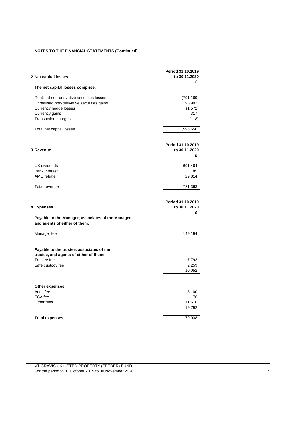| 2 Net capital losses                                                                                                                                      | Period 31.10.2019<br>to 30.11.2020<br>£          |
|-----------------------------------------------------------------------------------------------------------------------------------------------------------|--------------------------------------------------|
| The net capital losses comprise:                                                                                                                          |                                                  |
| Realised non-derivative securities losses<br>Unrealised non-derivative securities gains<br>Currency hedge losses<br>Currency gains<br>Transaction charges | (791, 169)<br>195,992<br>(1,572)<br>317<br>(118) |
| Total net capital losses                                                                                                                                  | (596, 550)                                       |
| 3 Revenue                                                                                                                                                 | Period 31.10.2019<br>to 30.11.2020<br>£          |
| UK dividends<br><b>Bank interest</b><br>AMC rebate                                                                                                        | 691,464<br>85<br>29,814                          |
| Total revenue                                                                                                                                             | 721,363                                          |
| 4 Expenses<br>Payable to the Manager, associates of the Manager,<br>and agents of either of them:                                                         | Period 31.10.2019<br>to 30.11.2020<br>£          |
| Manager fee                                                                                                                                               | 149,194                                          |
| Payable to the trustee, associates of the<br>trustee, and agents of either of them:<br>Trustee fee<br>Safe custody fee                                    | 7,793<br>2,259<br>10,052                         |
| Other expenses:<br>Audit fee<br>FCA fee<br>Other fees                                                                                                     | 8,100<br>76<br>11,616<br>19,792                  |
| <b>Total expenses</b>                                                                                                                                     | 179,038                                          |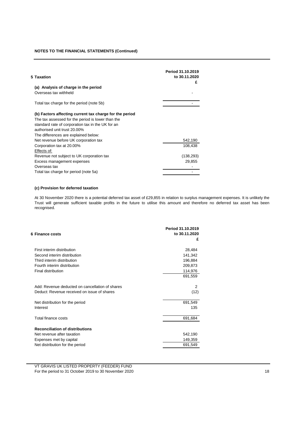| 5 Taxation                                                    | Period 31.10.2019<br>to 30.11.2020<br>£ |
|---------------------------------------------------------------|-----------------------------------------|
| (a) Analysis of charge in the period<br>Overseas tax withheld |                                         |
| Total tax charge for the period (note 5b)                     |                                         |
| (b) Factors affecting current tax charge for the period       |                                         |
| The tax assessed for the period is lower than the             |                                         |
| standard rate of corporation tax in the UK for an             |                                         |
| authorised unit trust 20.00%                                  |                                         |
| The differences are explained below:                          |                                         |
| Net revenue before UK corporation tax                         | 542,190                                 |
| Corporation tax at 20.00%                                     | 108,438                                 |
| Effects of:                                                   |                                         |
| Revenue not subject to UK corporation tax                     | (138, 293)                              |
| Excess management expenses                                    | 29,855                                  |
| Overseas tax                                                  |                                         |
| Total tax charge for period (note 5a)                         |                                         |
|                                                               |                                         |

# **(c) Provision for deferred taxation**

At 30 November 2020 there is a potential deferred tax asset of £29,855 in relation to surplus management expenses. It is unlikely the Trust will generate sufficient taxable profits in the future to utilise this amount and therefore no deferred tax asset has been recognised.

| 6 Finance costs                                 | Period 31.10.2019<br>to 30.11.2020 |
|-------------------------------------------------|------------------------------------|
|                                                 | £                                  |
| First interim distribution                      | 28,484                             |
| Second interim distribution                     | 141,342                            |
| Third interim distribution                      | 196,884                            |
| Fourth interim distribution                     | 209,873                            |
| Final distribution                              | 114,976                            |
|                                                 | 691,559                            |
| Add: Revenue deducted on cancellation of shares | $\mathcal{P}$                      |
| Deduct: Revenue received on issue of shares     | (12)                               |
| Net distribution for the period                 | 691,549                            |
| Interest                                        | 135                                |
| Total finance costs                             | 691,684                            |
| <b>Reconciliation of distributions</b>          |                                    |
| Net revenue after taxation                      | 542,190                            |
| Expenses met by capital                         | 149,359                            |
| Net distribution for the period                 | 691,549                            |
|                                                 |                                    |

VT GRAVIS UK LISTED PROPERTY (FEEDER) FUND For the period to 31 October 2019 to 30 November 2020 18 and 18 and 18 and 18 and 18 and 18 and 18 and 18 and 18 and 18 and 18 and 18 and 18 and 18 and 18 and 18 and 18 and 18 and 18 and 18 and 18 and 18 and 18 and 18 and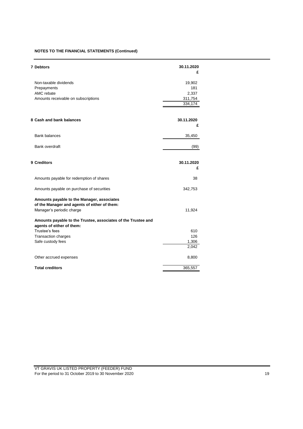| <b>7 Debtors</b>                                                                           | 30.11.2020<br>£ |
|--------------------------------------------------------------------------------------------|-----------------|
| Non-taxable dividends                                                                      | 19,902          |
| Prepayments                                                                                | 181             |
| AMC rebate                                                                                 | 2.337           |
| Amounts receivable on subscriptions                                                        | 311,754         |
|                                                                                            | 334,174         |
| 8 Cash and bank balances                                                                   | 30.11.2020      |
|                                                                                            | £               |
| <b>Bank balances</b>                                                                       | 35,450          |
| Bank overdraft                                                                             | (99)            |
| 9 Creditors                                                                                | 30.11.2020<br>£ |
| Amounts payable for redemption of shares                                                   | 38              |
| Amounts payable on purchase of securities                                                  | 342,753         |
| Amounts payable to the Manager, associates<br>of the Manager and agents of either of them: |                 |
| Manager's periodic charge                                                                  | 11,924          |
| Amounts payable to the Trustee, associates of the Trustee and<br>agents of either of them: |                 |
| Trustee's fees                                                                             | 610             |
| <b>Transaction charges</b>                                                                 | 126             |
| Safe custody fees                                                                          | 1,306           |
|                                                                                            | 2,042           |
| Other accrued expenses                                                                     | 8,800           |
| <b>Total creditors</b>                                                                     | 365,557         |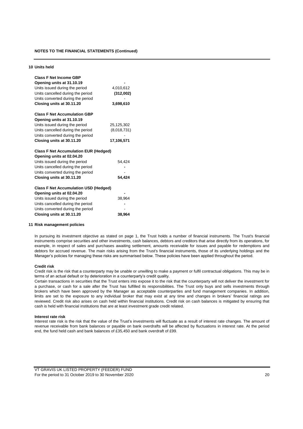#### **10 Units held**

| <b>Class F Net Income GBP</b>                |             |
|----------------------------------------------|-------------|
| Opening units at 31.10.19                    |             |
| Units issued during the period               | 4,010,612   |
| Units cancelled during the period            | (312,002)   |
| Units converted during the period            |             |
| Closing units at 30.11.20                    | 3,698,610   |
| <b>Class F Net Accumulation GBP</b>          |             |
| Opening units at 31.10.19                    |             |
| Units issued during the period               | 25,125,302  |
| Units cancelled during the period            | (8,018,731) |
| Units converted during the period            |             |
| Closing units at 30.11.20                    | 17,106,571  |
| <b>Class F Net Accumulation EUR (Hedged)</b> |             |
| Opening units at 02.04.20                    |             |
| Units issued during the period               | 54,424      |
| Units cancelled during the period            |             |
| Units converted during the period            |             |
| Closing units at 30.11.20                    | 54,424      |
| <b>Class F Net Accumulation USD (Hedged)</b> |             |
| Opening units at 02.04.20                    |             |
| Units issued during the period               | 38,964      |
| Units cancelled during the period            |             |
| Units converted during the period            |             |
| Closing units at 30.11.20                    | 38,964      |

#### **11 Risk management policies**

In pursuing its investment objective as stated on page 1, the Trust holds a number of financial instruments. The Trust's financial instruments comprise securities and other investments, cash balances, debtors and creditors that arise directly from its operations, for example, in respect of sales and purchases awaiting settlement, amounts receivable for issues and payable for redemptions and debtors for accrued revenue. The main risks arising from the Trust's financial instruments, those of its underlying holdings and the Manager's policies for managing these risks are summarised below. These policies have been applied throughout the period.

### **Credit risk**

Credit risk is the risk that a counterparty may be unable or unwilling to make a payment or fulfil contractual obligations. This may be in terms of an actual default or by deterioration in a counterparty's credit quality.

Certain transactions in securities that the Trust enters into expose it to the risk that the counterparty will not deliver the investment for a purchase, or cash for a sale after the Trust has fulfilled its responsibilities. The Trust only buys and sells investments through brokers which have been approved by the Manager as acceptable counterparties and fund management companies. In addition, limits are set to the exposure to any individual broker that may exist at any time and changes in brokers' financial ratings are reviewed. Credit risk also arises on cash held within financial institutions. Credit risk on cash balances is mitigated by ensuring that cash is held with financial institutions that are at least investment grade credit related.

#### **Interest rate risk**

Interest rate risk is the risk that the value of the Trust's investments will fluctuate as a result of interest rate changes. The amount of revenue receivable from bank balances or payable on bank overdrafts will be affected by fluctuations in interest rate. At the period end, the fund held cash and bank balances of £35,450 and bank overdraft of £99.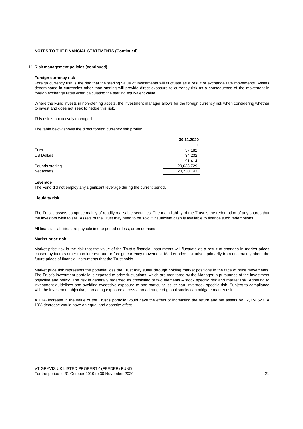#### **11 Risk management policies (continued)**

#### **Foreign currency risk**

Foreign currency risk is the risk that the sterling value of investments will fluctuate as a result of exchange rate movements. Assets denominated in currencies other than sterling will provide direct exposure to currency risk as a consequence of the movement in foreign exchange rates when calculating the sterling equivalent value.

Where the Fund invests in non-sterling assets, the investment manager allows for the foreign currency risk when considering whether to invest and does not seek to hedge this risk.

This risk is not actively managed.

The table below shows the direct foreign currency risk profile:

|                 | 30.11.2020 |
|-----------------|------------|
|                 |            |
| Euro            | 57,182     |
| US Dollars      | 34,232     |
|                 | 91,414     |
| Pounds sterling | 20,638,729 |
| Net assets      | 20,730,143 |

#### **Leverage**

The Fund did not employ any significant leverage during the current period.

#### **Liquidity risk**

The Trust's assets comprise mainly of readily realisable securities. The main liability of the Trust is the redemption of any shares that the investors wish to sell. Assets of the Trust may need to be sold if insufficient cash is available to finance such redemptions.

All financial liabilities are payable in one period or less, or on demand.

#### **Market price risk**

Market price risk is the risk that the value of the Trust's financial instruments will fluctuate as a result of changes in market prices caused by factors other than interest rate or foreign currency movement. Market price risk arises primarily from uncertainty about the future prices of financial instruments that the Trust holds.

Market price risk represents the potential loss the Trust may suffer through holding market positions in the face of price movements. The Trust's investment portfolio is exposed to price fluctuations, which are monitored by the Manager in pursuance of the investment objective and policy. The risk is generally regarded as consisting of two elements – stock specific risk and market risk. Adhering to investment guidelines and avoiding excessive exposure to one particular issuer can limit stock specific risk. Subject to compliance with the investment objective, spreading exposure across a broad range of global stocks can mitigate market risk.

A 10% increase in the value of the Trust's portfolio would have the effect of increasing the return and net assets by £2,074,623. A 10% decrease would have an equal and opposite effect.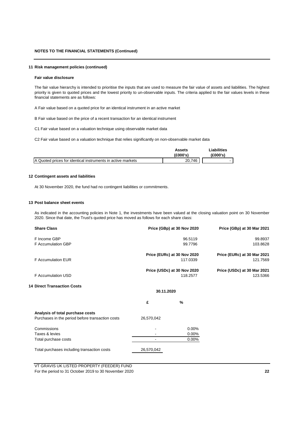#### **11 Risk management policies (continued)**

#### **Fair value disclosure**

The fair value hierarchy is intended to prioritise the inputs that are used to measure the fair value of assets and liabilities. The highest priority is given to quoted prices and the lowest priority to un-observable inputs. The criteria applied to the fair values levels in these financial statements are as follows:

A Fair value based on a quoted price for an identical instrument in an active market

B Fair value based on the price of a recent transaction for an identical instrument

C1 Fair value based on a valuation technique using observable market data

C2 Fair value based on a valuation technique that relies significantly on non-observable market data

|                                                             | Assets   | Liabilities |
|-------------------------------------------------------------|----------|-------------|
|                                                             | (E000's) | (£000's)    |
| A Quoted prices for identical instruments in active markets | 20.746   |             |

### **12 Contingent assets and liabilities**

At 30 November 2020, the fund had no contingent liabilities or commitments.

#### **13 Post balance sheet events**

As indicated in the accounting policies in Note 1, the investments have been valued at the closing valuation point on 30 November 2020. Since that date, the Trust's quoted price has moved as follows for each share class:

| <b>Share Class</b>                               |            | Price (GBp) at 30 Nov 2020  | Price (GBp) at 30 Mar 2021  |
|--------------------------------------------------|------------|-----------------------------|-----------------------------|
| F Income GBP                                     |            | 96.5119                     | 99.8937                     |
| F Accumulation GBP                               |            | 99.7796                     | 103.8628                    |
|                                                  |            | Price (EURc) at 30 Nov 2020 | Price (EURc) at 30 Mar 2021 |
| F Accumulation EUR                               |            | 117.0339                    | 121.7569                    |
|                                                  |            | Price (USDc) at 30 Nov 2020 | Price (USDc) at 30 Mar 2021 |
| F Accumulation USD                               |            | 118.2577                    | 123.5366                    |
| <b>14 Direct Transaction Costs</b>               |            |                             |                             |
|                                                  | 30.11.2020 |                             |                             |
|                                                  | £          | $\frac{9}{6}$               |                             |
| Analysis of total purchase costs                 |            |                             |                             |
| Purchases in the period before transaction costs | 26,570,042 |                             |                             |
| Commissions                                      |            | 0.00%                       |                             |
| Taxes & levies                                   |            | 0.00%                       |                             |
| Total purchase costs                             |            | 0.00%                       |                             |
| Total purchases including transaction costs      | 26,570,042 |                             |                             |
|                                                  |            |                             |                             |

VT GRAVIS UK LISTED PROPERTY (FEEDER) FUND For the period to 31 October 2019 to 30 November 2020 **22**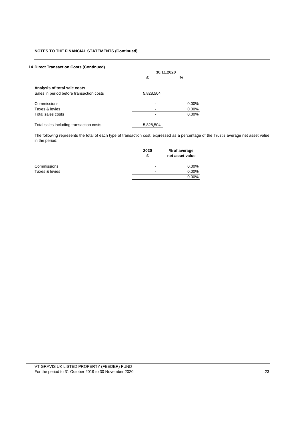# **14 Direct Transaction Costs (Continued)**

|                                          | 30.11.2020 |       |  |
|------------------------------------------|------------|-------|--|
|                                          | £          | %     |  |
| Analysis of total sale costs             |            |       |  |
| Sales in period before transaction costs | 5,828,504  |       |  |
| Commissions                              | -          | 0.00% |  |
| Taxes & levies                           |            | 0.00% |  |
| Total sales costs                        |            | 0.00% |  |
| Total sales including transaction costs  | 5,828,504  |       |  |

The following represents the total of each type of transaction cost, expressed as a percentage of the Trust's average net asset value in the period:

|                | 2020 | % of average<br>net asset value |
|----------------|------|---------------------------------|
| Commissions    | -    | 0.00%                           |
| Taxes & levies | -    | $0.00\%$                        |
|                | -    | 0.00%                           |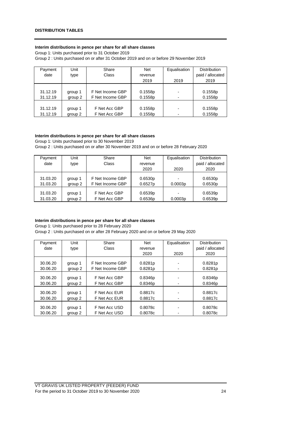# **Interim distributions in pence per share for all share classes**

Group 1: Units purchased prior to 31 October 2019 Group 2 : Units purchased on or after 31 October 2019 and on or before 29 November 2019

| Payment  | Unit    | Share            | <b>Net</b> | Equalisation | <b>Distribution</b> |
|----------|---------|------------------|------------|--------------|---------------------|
| date     | type    | Class            | revenue    |              | paid / allocated    |
|          |         |                  | 2019       | 2019         | 2019                |
|          |         |                  |            |              |                     |
| 31.12.19 | group 1 | F Net Income GBP | 0.1558p    |              | 0.1558p             |
| 31.12.19 | group 2 | F Net Income GBP | 0.1558p    |              | 0.1558p             |
|          |         |                  |            |              |                     |
| 31.12.19 | group 1 | F Net Acc GBP    | 0.1558p    |              | 0.1558p             |
| 31.12.19 | group 2 | F Net Acc GBP    | 0.1558p    |              | 0.1558p             |

# **Interim distributions in pence per share for all share classes**

Group 1: Units purchased prior to 30 November 2019

Group 2 : Units purchased on or after 30 November 2019 and on or before 28 February 2020

| Payment  | Unit    | Share            | <b>Net</b> | Equalisation | <b>Distribution</b> |
|----------|---------|------------------|------------|--------------|---------------------|
| date     | type    | Class            | revenue    |              | paid / allocated    |
|          |         |                  | 2020       | 2020         | 2020                |
|          |         |                  |            |              |                     |
| 31.03.20 | group 1 | F Net Income GBP | 0.6530p    |              | 0.6530p             |
| 31.03.20 | group 2 | F Net Income GBP | 0.6527p    | 0.0003p      | 0.6530p             |
|          |         |                  |            |              |                     |
| 31.03.20 | group 1 | F Net Acc GBP    | 0.6539p    |              | 0.6539p             |
| 31.03.20 | group 2 | F Net Acc GBP    | 0.6536p    | 0.0003p      | 0.6539p             |

# **Interim distributions in pence per share for all share classes**

Group 1: Units purchased prior to 28 February 2020

Group 2 : Units purchased on or after 28 February 2020 and on or before 29 May 2020

| Payment  | Unit    | Share            | Net     | Equalisation                 | <b>Distribution</b> |
|----------|---------|------------------|---------|------------------------------|---------------------|
| date     | type    | Class            | revenue |                              | paid / allocated    |
|          |         |                  | 2020    | 2020                         | 2020                |
|          |         |                  |         |                              |                     |
| 30.06.20 | group 1 | F Net Income GBP | 0.8281p |                              | 0.8281p             |
| 30.06.20 | group 2 | F Net Income GBP | 0.8281p |                              | 0.8281p             |
|          |         |                  |         |                              |                     |
| 30.06.20 | group 1 | F Net Acc GBP    | 0.8346p |                              | 0.8346p             |
| 30.06.20 | group 2 | F Net Acc GBP    | 0.8346p |                              | 0.8346p             |
|          |         |                  |         |                              |                     |
| 30.06.20 | group 1 | F Net Acc EUR    | 0.8817c |                              | 0.8817c             |
| 30.06.20 | group 2 | F Net Acc EUR    | 0.8817c | $\qquad \qquad \blacksquare$ | 0.8817c             |
|          |         |                  |         |                              |                     |
| 30.06.20 | group 1 | F Net Acc USD    | 0.8078c |                              | 0.8078c             |
| 30.06.20 | group 2 | F Net Acc USD    | 0.8078c |                              | 0.8078c             |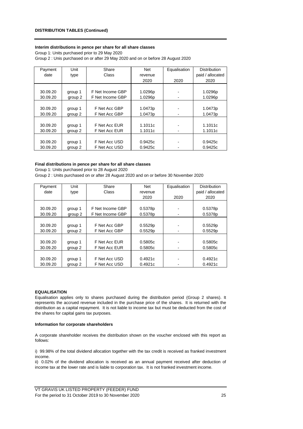# **Interim distributions in pence per share for all share classes**

Group 1: Units purchased prior to 29 May 2020

Group 2 : Unis purchased on or after 29 May 2020 and on or before 28 August 2020

| Payment  | Unit    | Share            | <b>Net</b> | Equalisation | <b>Distribution</b> |
|----------|---------|------------------|------------|--------------|---------------------|
| date     | type    | Class            | revenue    |              | paid / allocated    |
|          |         |                  | 2020       | 2020         | 2020                |
|          |         |                  |            |              |                     |
| 30.09.20 | group 1 | F Net Income GBP | 1.0296p    |              | 1.0296p             |
| 30.09.20 | group 2 | F Net Income GBP | 1.0296p    |              | 1.0296p             |
|          |         |                  |            |              |                     |
| 30.09.20 | group 1 | F Net Acc GBP    | 1.0473p    |              | 1.0473p             |
| 30.09.20 | group 2 | F Net Acc GBP    | 1.0473p    |              | 1.0473p             |
|          |         |                  |            |              |                     |
| 30.09.20 | group 1 | F Net Acc EUR    | 1.1011c    |              | 1.1011c             |
| 30.09.20 | group 2 | F Net Acc EUR    | 1.1011c    |              | 1.1011c             |
|          |         |                  |            |              |                     |
| 30.09.20 | group 1 | F Net Acc USD    | 0.9425c    |              | 0.9425c             |
| 30.09.20 | group 2 | F Net Acc USD    | 0.9425c    |              | 0.9425c             |

# **Final distributions in pence per share for all share classes**

Group 1: Units purchased prior to 28 August 2020

Group 2 : Units purchased on or after 28 August 2020 and on or before 30 November 2020

| Payment  | Unit    | Share            | <b>Net</b> | Equalisation | <b>Distribution</b> |
|----------|---------|------------------|------------|--------------|---------------------|
| date     | type    | Class            | revenue    |              | paid / allocated    |
|          |         |                  | 2020       | 2020         | 2020                |
|          |         |                  |            |              |                     |
| 30.09.20 | group 1 | F Net Income GBP | 0.5378p    |              | 0.5378p             |
| 30.09.20 | group 2 | F Net Income GBP | 0.5378p    |              | 0.5378p             |
|          |         |                  |            |              |                     |
| 30.09.20 | group 1 | F Net Acc GBP    | 0.5529p    |              | 0.5529p             |
| 30.09.20 | group 2 | F Net Acc GBP    | 0.5529p    |              | 0.5529p             |
|          |         |                  |            |              |                     |
| 30.09.20 | group 1 | F Net Acc EUR    | 0.5805c    |              | 0.5805c             |
| 30.09.20 | group 2 | F Net Acc EUR    | 0.5805c    |              | 0.5805c             |
|          |         |                  |            |              |                     |
| 30.09.20 | group 1 | F Net Acc USD    | 0.4921c    |              | 0.4921c             |
| 30.09.20 | group 2 | F Net Acc USD    | 0.4921c    |              | 0.4921c             |

# **EQUALISATION**

Equalisation applies only to shares purchased during the distribution period (Group 2 shares). It represents the accrued revenue included in the purchase price of the shares. It is returned with the distribution as a capital repayment. It is not liable to income tax but must be deducted from the cost of the shares for capital gains tax purposes.

#### **Information for corporate shareholders**

A corporate shareholder receives the distribution shown on the voucher enclosed with this report as follows:

i) 99.98% of the total dividend allocation together with the tax credit is received as franked investment income.

ii) 0.02% of the dividend allocation is received as an annual payment received after deduction of income tax at the lower rate and is liable to corporation tax. It is not franked investment income.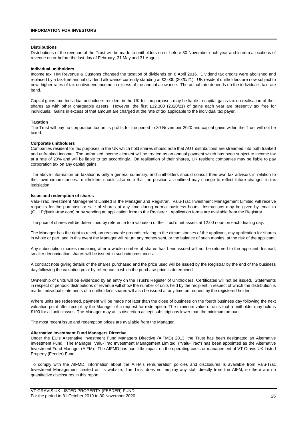### **Distributions**

Distributions of the revenue of the Trust will be made to unitholders on or before 30 November each year and interim allocations of revenue on or before the last day of February, 31 May and 31 August.

### **Individual unitholders**

Income tax: HM Revenue & Customs changed the taxation of dividends on 6 April 2016. Dividend tax credits were abolished and replaced by a tax-free annual dividend allowance currently standing at £2,000 (2020/21). UK resident unitholders are now subject to new, higher rates of tax on dividend income in excess of the annual allowance. The actual rate depends on the individual's tax rate band.

Capital gains tax: Individual unitholders resident in the UK for tax purposes may be liable to capital gains tax on realisation of their shares as with other chargeable assets. However, the first £12,300 (2020/21) of gains each year are presently tax free for individuals. Gains in excess of that amount are charged at the rate of tax applicable to the individual tax payer.

### **Taxation**

The Trust will pay no corporation tax on its profits for the period to 30 November 2020 and capital gains within the Trust will not be taxed.

### **Corporate unitholders**

Companies resident for tax purposes in the UK which hold shares should note that AUT distributions are streamed into both franked and unfranked income. The unfranked income element will be treated as an annual payment which has been subject to income tax at a rate of 20% and will be liable to tax accordingly. On realisation of their shares, UK resident companies may be liable to pay corporation tax on any capital gains.

The above information on taxation is only a general summary, and unitholders should consult their own tax advisors in relation to their own circumstances. unitholders should also note that the position as outlined may change to reflect future changes in tax legislation.

### **Issue and redemption of shares**

Valu-Trac Investment Management Limited is the Manager and Registrar. Valu-Trac Investment Management Limited will receive requests for the purchase or sale of shares at any time during normal business hours. Instructions may be given by email to (GULP@valu-trac.com) or by sending an application form to the Registrar. Application forms are available from the Registrar.

The price of shares will be determined by reference to a valuation of the Trust's net assets at 12:00 noon on each dealing day.

The Manager has the right to reject, on reasonable grounds relating to the circumstances of the applicant, any application for shares in whole or part, and in this event the Manager will return any money sent, or the balance of such monies, at the risk of the applicant.

Any subscription monies remaining after a whole number of shares has been issued will not be returned to the applicant. Instead, smaller denomination shares will be issued in such circumstances.

A contract note giving details of the shares purchased and the price used will be issued by the Registrar by the end of the business day following the valuation point by reference to which the purchase price is determined.

Ownership of units will be evidenced by an entry on the Trust's Register of Unitholders. Certificates will not be issued. Statements in respect of periodic distributions of revenue will show the number of units held by the recipient in respect of which the distribution is made. Individual statements of a unitholder's shares will also be issued at any time on request by the registered holder.

Where units are redeemed, payment will be made not later than the close of business on the fourth business day following the next valuation point after receipt by the Manager of a request for redemption. The minimum value of units that a unitholder may hold is £100 for all unit classes. The Manager may at its discretion accept subscriptions lower than the minimum amount.

The most recent issue and redemption prices are available from the Manager.

# **Alternative Investment Fund Managers Directive**

Under the EU's Alternative Investment Fund Managers Directive (AIFMD) 2013, the Trust has been designated an Alternative Investment Fund. The Manager, Valu-Trac Investment Management Limited, ("Valu-Trac") has been appointed as the Alternative Investment Fund Manager (AIFM). The AIFMD has had little impact on the operating costs or management of VT Gravis UK Listed Property (Feeder) Fund.

To comply with the AIFMD, information about the AIFM's remuneration policies and disclosures is available from Valu-Trac Investment Management Limited on its website. The Trust does not employ any staff directly from the AIFM, so there are no quantitative disclosures in this report.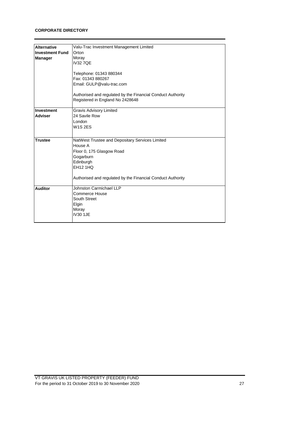# **CORPORATE DIRECTORY**

| <b>Alternative</b>     | Valu-Trac Investment Management Limited                     |  |  |
|------------------------|-------------------------------------------------------------|--|--|
| <b>Investment Fund</b> | Orton                                                       |  |  |
| <b>Manager</b>         | Moray                                                       |  |  |
|                        | <b>IV327OE</b>                                              |  |  |
|                        |                                                             |  |  |
|                        | Telephone: 01343 880344                                     |  |  |
|                        | Fax: 01343 880267                                           |  |  |
|                        | Email: GULP@valu-trac.com                                   |  |  |
|                        |                                                             |  |  |
|                        | Authorised and regulated by the Financial Conduct Authority |  |  |
|                        | Registered in England No 2428648                            |  |  |
|                        |                                                             |  |  |
| Investment             | <b>Gravis Advisory Limited</b>                              |  |  |
| <b>Adviser</b>         | 24 Savile Row                                               |  |  |
|                        | London                                                      |  |  |
|                        | <b>W1S2ES</b>                                               |  |  |
|                        |                                                             |  |  |
| <b>Trustee</b>         | NatWest Trustee and Depositary Services Limited             |  |  |
|                        | House A                                                     |  |  |
|                        | Floor 0, 175 Glasgow Road                                   |  |  |
|                        | Gogarburn                                                   |  |  |
|                        | Edinburgh                                                   |  |  |
|                        | <b>EH12 1HQ</b>                                             |  |  |
|                        |                                                             |  |  |
|                        | Authorised and regulated by the Financial Conduct Authority |  |  |
|                        |                                                             |  |  |
| <b>Auditor</b>         | Johnston Carmichael LLP                                     |  |  |
|                        | Commerce House                                              |  |  |
|                        | South Street                                                |  |  |
|                        | Elgin                                                       |  |  |
|                        | Moray                                                       |  |  |
|                        | <b>IV30 1JE</b>                                             |  |  |
|                        |                                                             |  |  |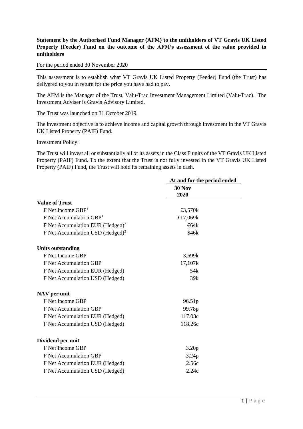# **Statement by the Authorised Fund Manager (AFM) to the unitholders of VT Gravis UK Listed Property (Feeder) Fund on the outcome of the AFM's assessment of the value provided to unitholders**

For the period ended 30 November 2020

This assessment is to establish what VT Gravis UK Listed Property (Feeder) Fund (the Trust) has delivered to you in return for the price you have had to pay.

The AFM is the Manager of the Trust, Valu-Trac Investment Management Limited (Valu-Trac). The Investment Adviser is Gravis Advisory Limited.

The Trust was launched on 31 October 2019.

The investment objective is to achieve income and capital growth through investment in the VT Gravis UK Listed Property (PAIF) Fund.

Investment Policy:

The Trust will invest all or substantially all of its assets in the Class F units of the VT Gravis UK Listed Property (PAIF) Fund. To the extent that the Trust is not fully invested in the VT Gravis UK Listed Property (PAIF) Fund, the Trust will hold its remaining assets in cash.

|                                              | At and for the period ended |
|----------------------------------------------|-----------------------------|
|                                              | <b>30 Nov</b><br>2020       |
| <b>Value of Trust</b>                        |                             |
| F Net Income GBP <sup>1</sup>                | £3,570k                     |
| $F$ Net Accumulation GBP <sup>1</sup>        | £17,069k                    |
| F Net Accumulation EUR (Hedged) <sup>2</sup> | $\epsilon$ 64k              |
| F Net Accumulation USD (Hedged) <sup>2</sup> | \$46k                       |
| <b>Units outstanding</b>                     |                             |
| F Net Income GBP                             | 3,699k                      |
| F Net Accumulation GBP                       | 17,107k                     |
| F Net Accumulation EUR (Hedged)              | 54k                         |
| F Net Accumulation USD (Hedged)              | 39k                         |
| NAV per unit                                 |                             |
| F Net Income GBP                             | 96.51p                      |
| F Net Accumulation GBP                       | 99.78p                      |
| F Net Accumulation EUR (Hedged)              | 117.03c                     |
| F Net Accumulation USD (Hedged)              | 118.26c                     |
| Dividend per unit                            |                             |
| F Net Income GBP                             | 3.20 <sub>p</sub>           |
| F Net Accumulation GBP                       | 3.24p                       |
| F Net Accumulation EUR (Hedged)              | 2.56c                       |
| F Net Accumulation USD (Hedged)              | 2.24c                       |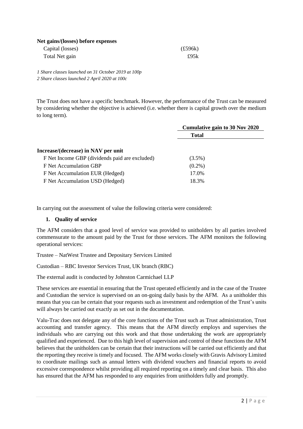| Net gains/(losses) before expenses |                        |
|------------------------------------|------------------------|
| Capital (losses)                   | $(\text{\pounds}596k)$ |
| Total Net gain                     | £95k                   |

*1 Share classes launched on 31 October 2019 at 100p 2 Share classes launched 2 April 2020 at 100c*

The Trust does not have a specific benchmark. However, the performance of the Trust can be measured by considering whether the objective is achieved (i.e. whether there is capital growth over the medium to long term).

|                                                | Cumulative gain to 30 Nov 2020 |  |
|------------------------------------------------|--------------------------------|--|
|                                                | <b>Total</b>                   |  |
| Increase/(decrease) in NAV per unit            |                                |  |
| F Net Income GBP (dividends paid are excluded) | $(3.5\%)$                      |  |
| F Net Accumulation GBP                         | $(0.2\%)$                      |  |
| F Net Accumulation EUR (Hedged)                | 17.0%                          |  |
| F Net Accumulation USD (Hedged)                | 18.3%                          |  |
|                                                |                                |  |

In carrying out the assessment of value the following criteria were considered:

# **1. Quality of service**

The AFM considers that a good level of service was provided to unitholders by all parties involved commensurate to the amount paid by the Trust for those services. The AFM monitors the following operational services:

Trustee – NatWest Trustee and Depositary Services Limited

Custodian – RBC Investor Services Trust, UK branch (RBC)

The external audit is conducted by Johnston Carmichael LLP

These services are essential in ensuring that the Trust operated efficiently and in the case of the Trustee and Custodian the service is supervised on an on-going daily basis by the AFM. As a unitholder this means that you can be certain that your requests such as investment and redemption of the Trust's units will always be carried out exactly as set out in the documentation.

Valu-Trac does not delegate any of the core functions of the Trust such as Trust administration, Trust accounting and transfer agency. This means that the AFM directly employs and supervises the individuals who are carrying out this work and that those undertaking the work are appropriately qualified and experienced. Due to this high level of supervision and control of these functions the AFM believes that the unitholders can be certain that their instructions will be carried out efficiently and that the reporting they receive is timely and focused. The AFM works closely with Gravis Advisory Limited to coordinate mailings such as annual letters with dividend vouchers and financial reports to avoid excessive correspondence whilst providing all required reporting on a timely and clear basis. This also has ensured that the AFM has responded to any enquiries from unitholders fully and promptly.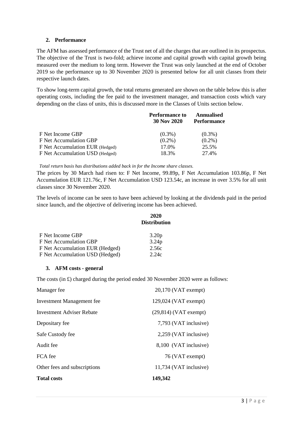# **2. Performance**

The AFM has assessed performance of the Trust net of all the charges that are outlined in its prospectus. The objective of the Trust is two-fold; achieve income and capital growth with capital growth being measured over the medium to long term. However the Trust was only launched at the end of October 2019 so the performance up to 30 November 2020 is presented below for all unit classes from their respective launch dates.

To show long-term capital growth, the total returns generated are shown on the table below this is after operating costs, including the fee paid to the investment manager, and transaction costs which vary depending on the class of units, this is discussed more in the Classes of Units section below.

|                                 | <b>Performance to</b><br>30 Nov 2020 | <b>Annualised</b><br><b>Performance</b> |
|---------------------------------|--------------------------------------|-----------------------------------------|
| F Net Income GBP                | $(0.3\%)$                            | $(0.3\%)$                               |
| F Net Accumulation GBP          | $(0.2\%)$                            | $(0.2\%)$                               |
| F Net Accumulation EUR (Hedged) | 17.0%                                | 25.5%                                   |
| F Net Accumulation USD (Hedged) | 18.3%                                | 27.4%                                   |

*Total return basis has distributions added back in for the Income share classes.*

The prices by 30 March had risen to: F Net Income, 99.89p, F Net Accumulation 103.86p, F Net Accumulation EUR 121.76c, F Net Accumulation USD 123.54c, an increase in over 3.5% for all unit classes since 30 November 2020.

The levels of income can be seen to have been achieved by looking at the dividends paid in the period since launch, and the objective of delivering income has been achieved.

|                                 | 2020                |  |
|---------------------------------|---------------------|--|
|                                 | <b>Distribution</b> |  |
| F Net Income GBP                | 3.20 <sub>p</sub>   |  |
| F Net Accumulation GBP          | 3.24p               |  |
| F Net Accumulation EUR (Hedged) | 2.56c               |  |
| F Net Accumulation USD (Hedged) | 2.24c               |  |

# **3. AFM costs - general**

The costs (in  $\pounds$ ) charged during the period ended 30 November 2020 were as follows:

| <b>Total costs</b>           | 149,342                 |
|------------------------------|-------------------------|
| Other fees and subscriptions | 11,734 (VAT inclusive)  |
| FCA fee                      | 76 (VAT exempt)         |
| Audit fee                    | 8,100 (VAT inclusive)   |
| Safe Custody fee             | 2,259 (VAT inclusive)   |
| Depositary fee               | 7,793 (VAT inclusive)   |
| Investment Adviser Rebate    | $(29,814)$ (VAT exempt) |
| Investment Management fee    | 129,024 (VAT exempt)    |
| Manager fee                  | $20,170$ (VAT exempt)   |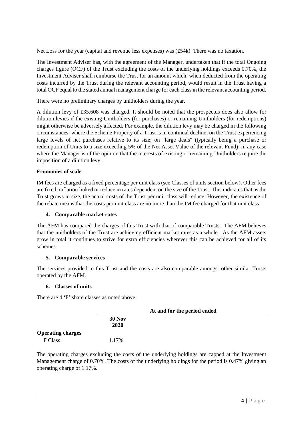Net Loss for the year (capital and revenue less expenses) was (£54k). There was no taxation.

The Investment Adviser has, with the agreement of the Manager, undertaken that if the total Ongoing charges figure (OCF) of the Trust excluding the costs of the underlying holdings exceeds 0.70%, the Investment Adviser shall reimburse the Trust for an amount which, when deducted from the operating costs incurred by the Trust during the relevant accounting period, would result in the Trust having a total OCF equal to the stated annual management charge for each class in the relevant accounting period.

There were no preliminary charges by unitholders during the year.

A dilution levy of £35,608 was charged. It should be noted that the prospectus does also allow for dilution levies if the existing Unitholders (for purchases) or remaining Unitholders (for redemptions) might otherwise be adversely affected. For example, the dilution levy may be charged in the following circumstances: where the Scheme Property of a Trust is in continual decline; on the Trust experiencing large levels of net purchases relative to its size; on "large deals" (typically being a purchase or redemption of Units to a size exceeding 5% of the Net Asset Value of the relevant Fund); in any case where the Manager is of the opinion that the interests of existing or remaining Unitholders require the imposition of a dilution levy.

# **Economies of scale**

IM fees are charged as a fixed percentage per unit class (see Classes of units section below). Other fees are fixed, inflation linked or reduce in rates dependent on the size of the Trust. This indicates that as the Trust grows in size, the actual costs of the Trust per unit class will reduce. However, the existence of the rebate means that the costs per unit class are no more than the IM fee charged for that unit class.

# **4. Comparable market rates**

The AFM has compared the charges of this Trust with that of comparable Trusts. The AFM believes that the unitholders of the Trust are achieving efficient market rates as a whole. As the AFM assets grow in total it continues to strive for extra efficiencies wherever this can be achieved for all of its schemes.

# **5. Comparable services**

The services provided to this Trust and the costs are also comparable amongst other similar Trusts operated by the AFM.

# **6. Classes of units**

There are 4 'F' share classes as noted above.

|                          | At and for the period ended |  |
|--------------------------|-----------------------------|--|
|                          | <b>30 Nov</b><br>2020       |  |
| <b>Operating charges</b> |                             |  |
| F Class                  | 1.17%                       |  |

The operating charges excluding the costs of the underlying holdings are capped at the Investment Management charge of 0.70%. The costs of the underlying holdings for the period is 0.47% giving an operating charge of 1.17%.